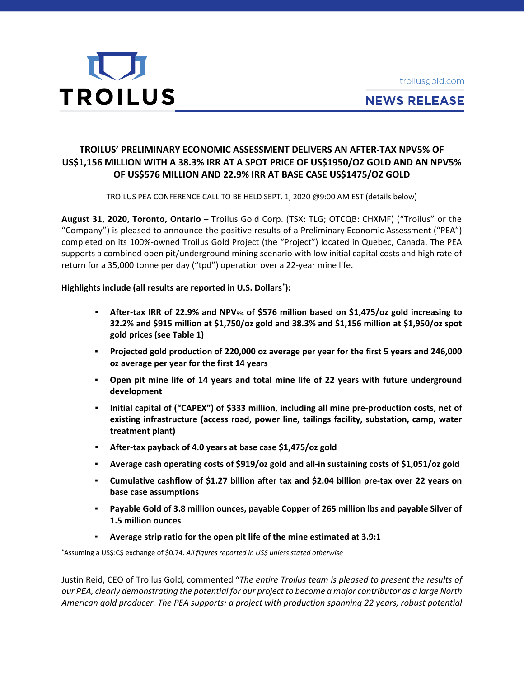



# **NEWS RELEASE**

## **TROILUS' PRELIMINARY ECONOMIC ASSESSMENT DELIVERS AN AFTER-TAX NPV5% OF US\$1,156 MILLION WITH A 38.3% IRR AT A SPOT PRICE OF US\$1950/OZ GOLD AND AN NPV5% OF US\$576 MILLION AND 22.9% IRR AT BASE CASE US\$1475/OZ GOLD**

TROILUS PEA CONFERENCE CALL TO BE HELD SEPT. 1, 2020 @9:00 AM EST (details below)

**August 31, 2020, Toronto, Ontario** – Troilus Gold Corp. (TSX: TLG; OTCQB: CHXMF) ("Troilus" or the "Company") is pleased to announce the positive results of a Preliminary Economic Assessment ("PEA") completed on its 100%-owned Troilus Gold Project (the "Project") located in Quebec, Canada. The PEA supports a combined open pit/underground mining scenario with low initial capital costs and high rate of return for a 35,000 tonne per day ("tpd") operation over a 22-year mine life.

## **Highlights include (all results are reported in U.S. Dollars\* ):**

- **After-tax IRR of 22.9% and NPV5% of \$576 million based on \$1,475/oz gold increasing to 32.2% and \$915 million at \$1,750/oz gold and 38.3% and \$1,156 million at \$1,950/oz spot gold prices (see Table 1)**
- **Projected gold production of 220,000 oz average per year for the first 5 years and 246,000 oz average per year for the first 14 years**
- **Open pit mine life of 14 years and total mine life of 22 years with future underground development**
- **Initial capital of ("CAPEX") of \$333 million, including all mine pre-production costs, net of existing infrastructure (access road, power line, tailings facility, substation, camp, water treatment plant)**
- **After-tax payback of 4.0 years at base case \$1,475/oz gold**
- **Average cash operating costs of \$919/oz gold and all-in sustaining costs of \$1,051/oz gold**
- **Cumulative cashflow of \$1.27 billion after tax and \$2.04 billion pre-tax over 22 years on base case assumptions**
- **Payable Gold of 3.8 million ounces, payable Copper of 265 million lbs and payable Silver of 1.5 million ounces**
- **Average strip ratio for the open pit life of the mine estimated at 3.9:1**

**\***Assuming a US\$:C\$ exchange of \$0.74. *All figures reported in US\$ unless stated otherwise*

Justin Reid, CEO of Troilus Gold, commented "*The entire Troilus team is pleased to present the results of* our PEA, clearly demonstrating the potential for our project to become a major contributor as a large North *American gold producer. The PEA supports: a project with production spanning 22 years, robust potential*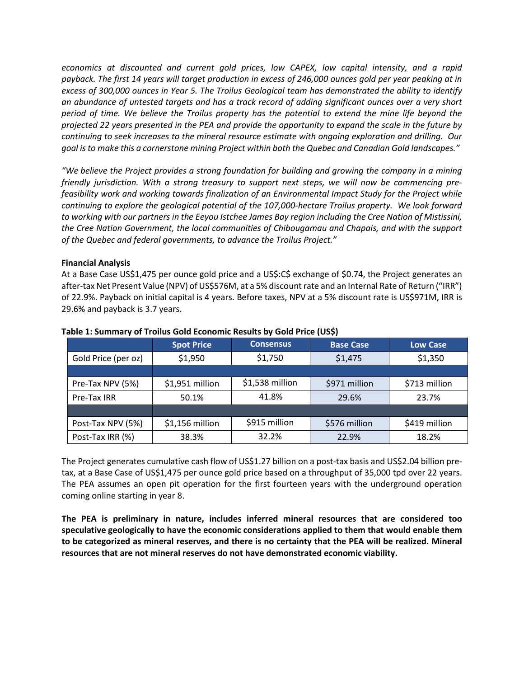*economics at discounted and current gold prices, low CAPEX, low capital intensity, and a rapid* payback. The first 14 years will target production in excess of 246,000 ounces gold per year peaking at in *excess of 300,000 ounces in Year 5. The Troilus Geological team has demonstrated the ability to identify* an abundance of untested targets and has a track record of adding significant ounces over a very short period of time. We believe the Troilus property has the potential to extend the mine life beyond the projected 22 years presented in the PEA and provide the opportunity to expand the scale in the future by *continuing to seek increases to the mineral resource estimate with ongoing exploration and drilling. Our goal is to make this a cornerstone mining Project within both the Quebec and Canadian Gold landscapes."*

*"We believe the Project provides a strong foundation for building and growing the company in a mining friendly jurisdiction. With a strong treasury to support next steps, we will now be commencing prefeasibility work and working towards finalization of an Environmental Impact Study for the Project while continuing to explore the geological potential of the 107,000-hectare Troilus property. We look forward to working with our partners in the Eeyou Istchee James Bay region including the Cree Nation of Mistissini, the Cree Nation Government, the local communities of Chibougamau and Chapais, and with the support of the Quebec and federal governments, to advance the Troilus Project."*

#### **Financial Analysis**

At a Base Case US\$1,475 per ounce gold price and a US\$:C\$ exchange of \$0.74, the Project generates an after-tax Net Present Value (NPV) of US\$576M, at a 5% discount rate and an Internal Rate of Return ("IRR") of 22.9%. Payback on initial capital is 4 years. Before taxes, NPV at a 5% discount rate is US\$971M, IRR is 29.6% and payback is 3.7 years.

|                     | <b>Spot Price</b> | <b>Consensus</b> | <b>Base Case</b> | <b>Low Case</b> |  |
|---------------------|-------------------|------------------|------------------|-----------------|--|
| Gold Price (per oz) | \$1,950           | \$1,750          | \$1,475          | \$1,350         |  |
|                     |                   |                  |                  |                 |  |
| Pre-Tax NPV (5%)    | \$1,951 million   | \$1,538 million  | \$971 million    | \$713 million   |  |
| Pre-Tax IRR         | 50.1%             | 41.8%            | 29.6%            | 23.7%           |  |
|                     |                   |                  |                  |                 |  |
| Post-Tax NPV (5%)   | \$1,156 million   | \$915 million    | \$576 million    | \$419 million   |  |
| Post-Tax IRR (%)    | 38.3%             | 32.2%            | 22.9%            | 18.2%           |  |

#### **Table 1: Summary of Troilus Gold Economic Results by Gold Price (US\$)**

The Project generates cumulative cash flow of US\$1.27 billion on a post-tax basis and US\$2.04 billion pretax, at a Base Case of US\$1,475 per ounce gold price based on a throughput of 35,000 tpd over 22 years. The PEA assumes an open pit operation for the first fourteen years with the underground operation coming online starting in year 8.

**The PEA is preliminary in nature, includes inferred mineral resources that are considered too speculative geologically to have the economic considerations applied to them that would enable them to be categorized as mineral reserves, and there is no certainty that the PEA will be realized. Mineral resources that are not mineral reserves do not have demonstrated economic viability.**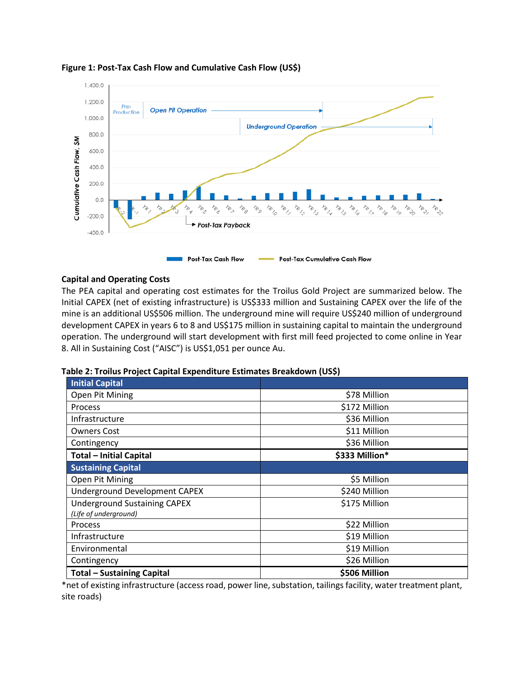

#### **Figure 1: Post-Tax Cash Flow and Cumulative Cash Flow (US\$)**

#### **Capital and Operating Costs**

The PEA capital and operating cost estimates for the Troilus Gold Project are summarized below. The Initial CAPEX (net of existing infrastructure) is US\$333 million and Sustaining CAPEX over the life of the mine is an additional US\$506 million. The underground mine will require US\$240 million of underground development CAPEX in years 6 to 8 and US\$175 million in sustaining capital to maintain the underground operation. The underground will start development with first mill feed projected to come online in Year 8. All in Sustaining Cost ("AISC") is US\$1,051 per ounce Au.

| <b>Initial Capital</b>               |                |  |  |  |
|--------------------------------------|----------------|--|--|--|
| Open Pit Mining                      | \$78 Million   |  |  |  |
| <b>Process</b>                       | \$172 Million  |  |  |  |
| Infrastructure                       | \$36 Million   |  |  |  |
| <b>Owners Cost</b>                   | \$11 Million   |  |  |  |
| Contingency                          | \$36 Million   |  |  |  |
| <b>Total - Initial Capital</b>       | \$333 Million* |  |  |  |
| <b>Sustaining Capital</b>            |                |  |  |  |
| Open Pit Mining                      | \$5 Million    |  |  |  |
| <b>Underground Development CAPEX</b> | \$240 Million  |  |  |  |
| <b>Underground Sustaining CAPEX</b>  | \$175 Million  |  |  |  |
| (Life of underground)                |                |  |  |  |
| Process                              | \$22 Million   |  |  |  |
| Infrastructure                       | \$19 Million   |  |  |  |
| Environmental                        | \$19 Million   |  |  |  |
| Contingency                          | \$26 Million   |  |  |  |
| <b>Total - Sustaining Capital</b>    | \$506 Million  |  |  |  |

\*net of existing infrastructure (access road, power line, substation, tailings facility, water treatment plant, site roads)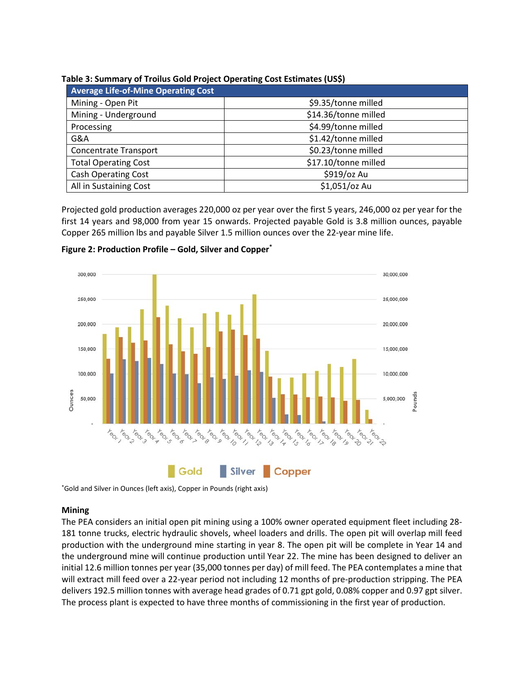| <b>Average Life-of-Mine Operating Cost</b> |                      |
|--------------------------------------------|----------------------|
| Mining - Open Pit                          | \$9.35/tonne milled  |
| Mining - Underground                       | \$14.36/tonne milled |
| Processing                                 | \$4.99/tonne milled  |
| G&A                                        | \$1.42/tonne milled  |
| <b>Concentrate Transport</b>               | \$0.23/tonne milled  |
| <b>Total Operating Cost</b>                | \$17.10/tonne milled |
| <b>Cash Operating Cost</b>                 | \$919/oz Au          |
| All in Sustaining Cost                     | \$1,051/oz Au        |

#### **Table 3: Summary of Troilus Gold Project Operating Cost Estimates (US\$)**

Projected gold production averages 220,000 oz per year over the first 5 years, 246,000 oz per year for the first 14 years and 98,000 from year 15 onwards. Projected payable Gold is 3.8 million ounces, payable Copper 265 million lbs and payable Silver 1.5 million ounces over the 22-year mine life.



**Figure 2: Production Profile – Gold, Silver and Copper\***

\*Gold and Silver in Ounces (left axis), Copper in Pounds (right axis)

#### **Mining**

The PEA considers an initial open pit mining using a 100% owner operated equipment fleet including 28- 181 tonne trucks, electric hydraulic shovels, wheel loaders and drills. The open pit will overlap mill feed production with the underground mine starting in year 8. The open pit will be complete in Year 14 and the underground mine will continue production until Year 22. The mine has been designed to deliver an initial 12.6 million tonnes per year (35,000 tonnes per day) of mill feed. The PEA contemplates a mine that will extract mill feed over a 22-year period not including 12 months of pre-production stripping. The PEA delivers 192.5 million tonnes with average head grades of 0.71 gpt gold, 0.08% copper and 0.97 gpt silver. The process plant is expected to have three months of commissioning in the first year of production.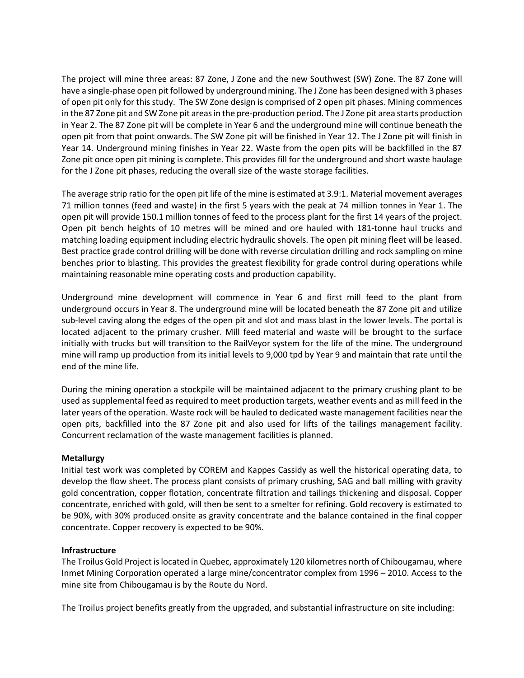The project will mine three areas: 87 Zone, J Zone and the new Southwest (SW) Zone. The 87 Zone will have a single-phase open pit followed by underground mining. The J Zone has been designed with 3 phases of open pit only for this study. The SW Zone design is comprised of 2 open pit phases. Mining commences in the 87 Zone pit and SW Zone pit areas in the pre-production period. The J Zone pit area starts production in Year 2. The 87 Zone pit will be complete in Year 6 and the underground mine will continue beneath the open pit from that point onwards. The SW Zone pit will be finished in Year 12. The J Zone pit will finish in Year 14. Underground mining finishes in Year 22. Waste from the open pits will be backfilled in the 87 Zone pit once open pit mining is complete. This provides fill for the underground and short waste haulage for the J Zone pit phases, reducing the overall size of the waste storage facilities.

The average strip ratio for the open pit life of the mine is estimated at 3.9:1. Material movement averages 71 million tonnes (feed and waste) in the first 5 years with the peak at 74 million tonnes in Year 1. The open pit will provide 150.1 million tonnes of feed to the process plant for the first 14 years of the project. Open pit bench heights of 10 metres will be mined and ore hauled with 181-tonne haul trucks and matching loading equipment including electric hydraulic shovels. The open pit mining fleet will be leased. Best practice grade control drilling will be done with reverse circulation drilling and rock sampling on mine benches prior to blasting. This provides the greatest flexibility for grade control during operations while maintaining reasonable mine operating costs and production capability.

Underground mine development will commence in Year 6 and first mill feed to the plant from underground occurs in Year 8. The underground mine will be located beneath the 87 Zone pit and utilize sub-level caving along the edges of the open pit and slot and mass blast in the lower levels. The portal is located adjacent to the primary crusher. Mill feed material and waste will be brought to the surface initially with trucks but will transition to the RailVeyor system for the life of the mine. The underground mine will ramp up production from its initial levels to 9,000 tpd by Year 9 and maintain that rate until the end of the mine life.

During the mining operation a stockpile will be maintained adjacent to the primary crushing plant to be used as supplemental feed as required to meet production targets, weather events and as mill feed in the later years of the operation. Waste rock will be hauled to dedicated waste management facilities near the open pits, backfilled into the 87 Zone pit and also used for lifts of the tailings management facility. Concurrent reclamation of the waste management facilities is planned.

## **Metallurgy**

Initial test work was completed by COREM and Kappes Cassidy as well the historical operating data, to develop the flow sheet. The process plant consists of primary crushing, SAG and ball milling with gravity gold concentration, copper flotation, concentrate filtration and tailings thickening and disposal. Copper concentrate, enriched with gold, will then be sent to a smelter for refining. Gold recovery is estimated to be 90%, with 30% produced onsite as gravity concentrate and the balance contained in the final copper concentrate. Copper recovery is expected to be 90%.

#### **Infrastructure**

The Troilus Gold Project is located in Quebec, approximately 120 kilometres north of Chibougamau, where Inmet Mining Corporation operated a large mine/concentrator complex from 1996 – 2010. Access to the mine site from Chibougamau is by the Route du Nord.

The Troilus project benefits greatly from the upgraded, and substantial infrastructure on site including: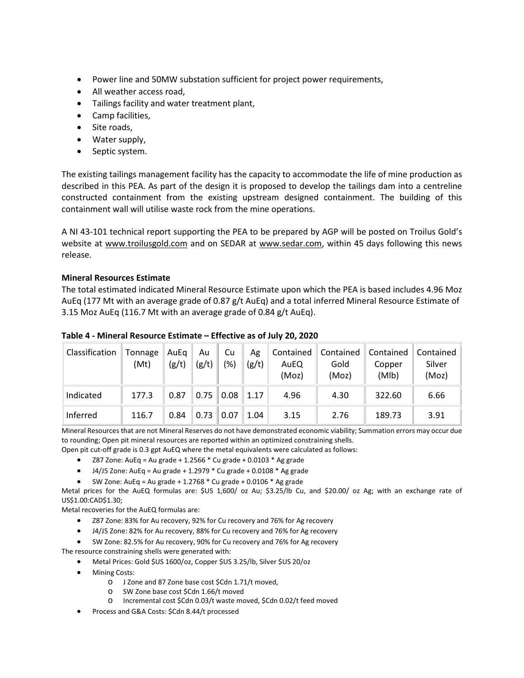- Power line and 50MW substation sufficient for project power requirements,
- All weather access road,
- Tailings facility and water treatment plant,
- Camp facilities,
- Site roads,
- Water supply,
- Septic system.

The existing tailings management facility has the capacity to accommodate the life of mine production as described in this PEA. As part of the design it is proposed to develop the tailings dam into a centreline constructed containment from the existing upstream designed containment. The building of this containment wall will utilise waste rock from the mine operations.

A NI 43-101 technical report supporting the PEA to be prepared by AGP will be posted on Troilus Gold's website at [www.troilusgold.com](http://www.troilusgold.com/) and on SEDAR at [www.sedar.com,](http://www.sedar.com/DisplayCompanyDocuments.do?lang=EN&issuerNo=00003837) within 45 days following this news release.

#### **Mineral Resources Estimate**

The total estimated indicated Mineral Resource Estimate upon which the PEA is based includes 4.96 Moz AuEq (177 Mt with an average grade of 0.87 g/t AuEq) and a total inferred Mineral Resource Estimate of 3.15 Moz AuEq (116.7 Mt with an average grade of 0.84 g/t AuEq).

| Classification | Tonnage<br>(Mt) | AuEq<br>(g/t) | Au<br>(g/t) | Cu<br>$\frac{1}{2}$ | Ag<br>(g/t) | Contained<br>AuEQ<br>(Moz) | Contained<br>Gold<br>(Moz) | Contained<br>Copper<br>(Mlb) | Contained<br>Silver<br>(Moz) |
|----------------|-----------------|---------------|-------------|---------------------|-------------|----------------------------|----------------------------|------------------------------|------------------------------|
| Indicated      | 177.3           | 0.87          | 0.75        | 0.08                | 1.17        | 4.96                       | 4.30                       | 322.60                       | 6.66                         |
| Inferred       | 116.7           | 0.84          | 0.73        | 0.07                | 1.04        | 3.15                       | 2.76                       | 189.73                       | 3.91                         |

#### **Table 4 - Mineral Resource Estimate – Effective as of July 20, 2020**

Mineral Resources that are not Mineral Reserves do not have demonstrated economic viability; Summation errors may occur due to rounding; Open pit mineral resources are reported within an optimized constraining shells.

Open pit cut-off grade is 0.3 gpt AuEQ where the metal equivalents were calculated as follows:

- Z87 Zone: AuEq = Au grade + 1.2566 \* Cu grade + 0.0103 \* Ag grade
- $\bullet$  J4/J5 Zone: AuEq = Au grade + 1.2979  $^*$  Cu grade + 0.0108  $^*$  Ag grade
- SW Zone: AuEq = Au grade +  $1.2768 *$  Cu grade +  $0.0106 *$  Ag grade

Metal prices for the AuEQ formulas are: \$US 1,600/ oz Au; \$3.25/lb Cu, and \$20.00/ oz Ag; with an exchange rate of US\$1.00:CAD\$1.30;

Metal recoveries for the AuEQ formulas are:

- Z87 Zone: 83% for Au recovery, 92% for Cu recovery and 76% for Ag recovery
- J4/J5 Zone: 82% for Au recovery, 88% for Cu recovery and 76% for Ag recovery
- SW Zone: 82.5% for Au recovery, 90% for Cu recovery and 76% for Ag recovery

The resource constraining shells were generated with:

- Metal Prices: Gold \$US 1600/oz, Copper \$US 3.25/lb, Silver \$US 20/oz
- Mining Costs:
	- o J Zone and 87 Zone base cost \$Cdn 1.71/t moved,
	- o SW Zone base cost \$Cdn 1.66/t moved
	- o Incremental cost \$Cdn 0.03/t waste moved, \$Cdn 0.02/t feed moved
- Process and G&A Costs: \$Cdn 8.44/t processed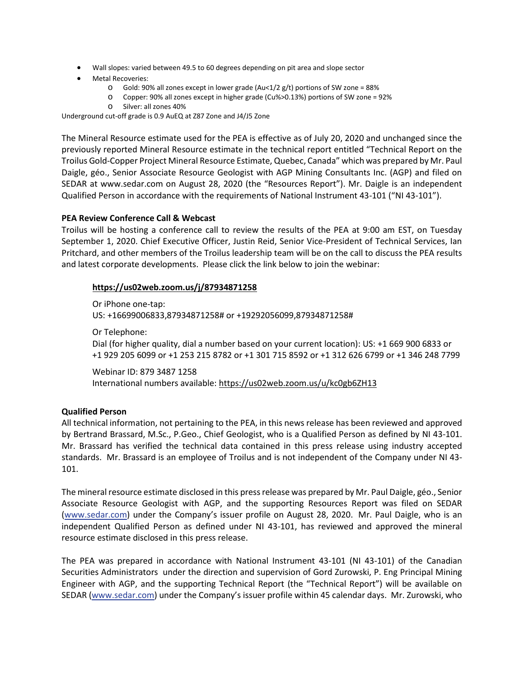- Wall slopes: varied between 49.5 to 60 degrees depending on pit area and slope sector
- Metal Recoveries:
	- $\circ$  Gold: 90% all zones except in lower grade (Au<1/2 g/t) portions of SW zone = 88%
	- o Copper: 90% all zones except in higher grade (Cu%>0.13%) portions of SW zone = 92%
	- o Silver: all zones 40%

Underground cut-off grade is 0.9 AuEQ at Z87 Zone and J4/J5 Zone

The Mineral Resource estimate used for the PEA is effective as of July 20, 2020 and unchanged since the previously reported Mineral Resource estimate in the technical report entitled "Technical Report on the Troilus Gold-Copper Project Mineral Resource Estimate, Quebec, Canada" which was prepared by Mr. Paul Daigle, géo., Senior Associate Resource Geologist with AGP Mining Consultants Inc. (AGP) and filed on SEDAR at www.sedar.com on August 28, 2020 (the "Resources Report"). Mr. Daigle is an independent Qualified Person in accordance with the requirements of National Instrument 43-101 ("NI 43-101").

## **PEA Review Conference Call & Webcast**

Troilus will be hosting a conference call to review the results of the PEA at 9:00 am EST, on Tuesday September 1, 2020. Chief Executive Officer, Justin Reid, Senior Vice-President of Technical Services, Ian Pritchard, and other members of the Troilus leadership team will be on the call to discuss the PEA results and latest corporate developments. Please click the link below to join the webinar:

## **<https://us02web.zoom.us/j/87934871258>**

Or iPhone one-tap:

US: +16699006833,87934871258# or +19292056099,87934871258#

Or Telephone:

Dial (for higher quality, dial a number based on your current location): US: +1 669 900 6833 or +1 929 205 6099 or +1 253 215 8782 or +1 301 715 8592 or +1 312 626 6799 or +1 346 248 7799

Webinar ID: 879 3487 1258 International numbers available: <https://us02web.zoom.us/u/kc0gb6ZH13>

## **Qualified Person**

All technical information, not pertaining to the PEA, in this news release has been reviewed and approved by Bertrand Brassard, M.Sc., P.Geo., Chief Geologist, who is a Qualified Person as defined by NI 43-101. Mr. Brassard has verified the technical data contained in this press release using industry accepted standards. Mr. Brassard is an employee of Troilus and is not independent of the Company under NI 43- 101.

The mineral resource estimate disclosed in this press release was prepared by Mr. Paul Daigle, géo., Senior Associate Resource Geologist with AGP, and the supporting Resources Report was filed on SEDAR [\(www.sedar.com\)](http://www.sedar.com/) under the Company's issuer profile on August 28, 2020. Mr. Paul Daigle, who is an independent Qualified Person as defined under NI 43-101, has reviewed and approved the mineral resource estimate disclosed in this press release.

The PEA was prepared in accordance with National Instrument 43-101 (NI 43-101) of the Canadian Securities Administrators under the direction and supervision of Gord Zurowski, P. Eng Principal Mining Engineer with AGP, and the supporting Technical Report (the "Technical Report") will be available on SEDAR [\(www.sedar.com\)](http://www.sedar.com/) under the Company's issuer profile within 45 calendar days. Mr. Zurowski, who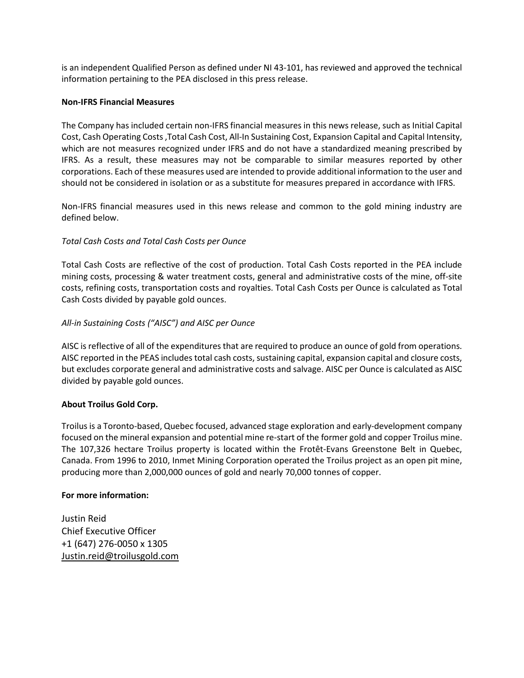is an independent Qualified Person as defined under NI 43-101, has reviewed and approved the technical information pertaining to the PEA disclosed in this press release.

#### **Non-IFRS Financial Measures**

The Company has included certain non-IFRS financial measures in this news release, such as Initial Capital Cost, Cash Operating Costs,Total Cash Cost, All-In Sustaining Cost, Expansion Capital and Capital Intensity, which are not measures recognized under IFRS and do not have a standardized meaning prescribed by IFRS. As a result, these measures may not be comparable to similar measures reported by other corporations. Each of these measures used are intended to provide additional information to the user and should not be considered in isolation or as a substitute for measures prepared in accordance with IFRS.

Non-IFRS financial measures used in this news release and common to the gold mining industry are defined below.

## *Total Cash Costs and Total Cash Costs per Ounce*

Total Cash Costs are reflective of the cost of production. Total Cash Costs reported in the PEA include mining costs, processing & water treatment costs, general and administrative costs of the mine, off-site costs, refining costs, transportation costs and royalties. Total Cash Costs per Ounce is calculated as Total Cash Costs divided by payable gold ounces.

## *All-in Sustaining Costs ("AISC") and AISC per Ounce*

AISC is reflective of all of the expenditures that are required to produce an ounce of gold from operations. AISC reported in the PEAS includes total cash costs, sustaining capital, expansion capital and closure costs, but excludes corporate general and administrative costs and salvage. AISC per Ounce is calculated as AISC divided by payable gold ounces.

## **About Troilus Gold Corp.**

Troilus is a Toronto-based, Quebec focused, advanced stage exploration and early-development company focused on the mineral expansion and potential mine re-start of the former gold and copper Troilus mine. The 107,326 hectare Troilus property is located within the Frotêt-Evans Greenstone Belt in Quebec, Canada. From 1996 to 2010, Inmet Mining Corporation operated the Troilus project as an open pit mine, producing more than 2,000,000 ounces of gold and nearly 70,000 tonnes of copper.

#### **For more information:**

Justin Reid Chief Executive Officer +1 (647) 276-0050 x 1305 [Justin.reid@troilusgold.com](mailto:Justin.reid@troilusgold.com)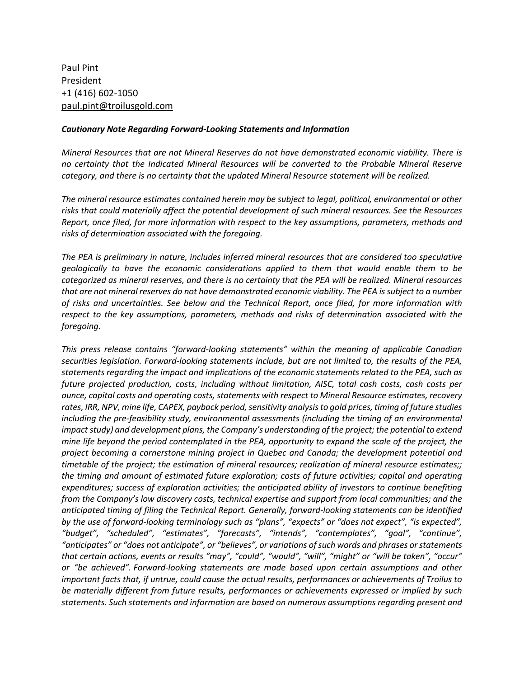Paul Pint President +1 (416) 602-1050 [paul.pint@troilusgold.com](mailto:paul.pint@troilusgold.com)

#### *Cautionary Note Regarding Forward-Looking Statements and Information*

*Mineral Resources that are not Mineral Reserves do not have demonstrated economic viability. There is no certainty that the Indicated Mineral Resources will be converted to the Probable Mineral Reserve category, and there is no certainty that the updated Mineral Resource statement will be realized.*

*The mineral resource estimates contained herein may be subject to legal, political, environmental or other risks that could materially affect the potential development of such mineral resources. See the Resources Report, once filed, for more information with respect to the key assumptions, parameters, methods and risks of determination associated with the foregoing.*

*The PEA is preliminary in nature, includes inferred mineral resources that are considered too speculative geologically to have the economic considerations applied to them that would enable them to be categorized as mineral reserves, and there is no certainty that the PEA will be realized. Mineral resources that are not mineral reserves do not have demonstrated economic viability. The PEA is subject to a number of risks and uncertainties. See below and the Technical Report, once filed, for more information with respect to the key assumptions, parameters, methods and risks of determination associated with the foregoing.*

*This press release contains "forward-looking statements" within the meaning of applicable Canadian securities legislation. Forward-looking statements include, but are not limited to, the results of the PEA, statements regarding the impact and implications of the economic statements related to the PEA, such as future projected production, costs, including without limitation, AISC, total cash costs, cash costs per ounce, capital costs and operating costs, statements with respect to Mineral Resource estimates, recovery rates, IRR, NPV, mine life, CAPEX, payback period, sensitivity analysis to gold prices, timing of future studies including the pre-feasibility study, environmental assessments (including the timing of an environmental impact study) and development plans, the Company's understanding of the project; the potential to extend mine life beyond the period contemplated in the PEA, opportunity to expand the scale of the project, the project becoming a cornerstone mining project in Quebec and Canada; the development potential and timetable of the project; the estimation of mineral resources; realization of mineral resource estimates;; the timing and amount of estimated future exploration; costs of future activities; capital and operating expenditures; success of exploration activities; the anticipated ability of investors to continue benefiting from the Company's low discovery costs, technical expertise and support from local communities; and the anticipated timing of filing the Technical Report. Generally, forward-looking statements can be identified by the use of forward-looking terminology such as "plans", "expects" or "does not expect", "is expected", "budget", "scheduled", "estimates", "forecasts", "intends", "contemplates", "goal", "continue", "anticipates" or "does not anticipate", or "believes", or variations of such words and phrases or statements that certain actions, events or results "may", "could", "would", "will", "might" or "will be taken", "occur" or "be achieved". Forward-looking statements are made based upon certain assumptions and other important facts that, if untrue, could cause the actual results, performances or achievements of Troilus to be materially different from future results, performances or achievements expressed or implied by such statements. Such statements and information are based on numerous assumptions regarding present and*